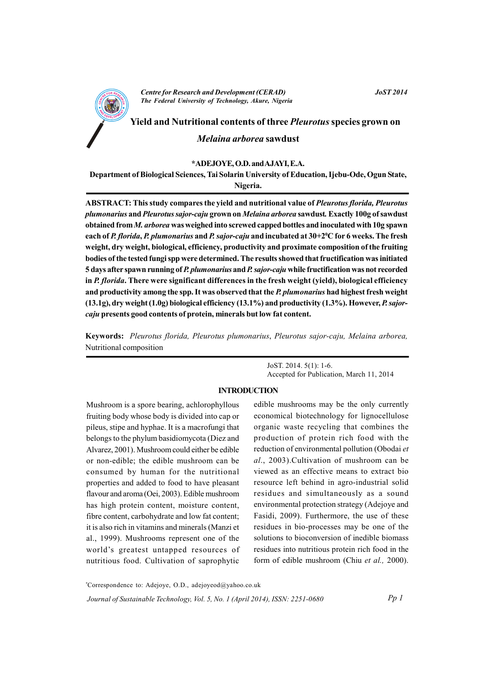

**JoST 2014** 

Yield and Nutritional contents of three *Pleurotus* species grown on Melaina arborea sawdust

# \*ADEJOYE, O.D. and AJAYI, E.A.

Department of Biological Sciences, Tai Solarin University of Education, Ijebu-Ode, Ogun State, Nigeria.

ABSTRACT: This study compares the yield and nutritional value of Pleurotus florida, Pleurotus plumonarius and Pleurotus sajor-caju grown on Melaina arborea sawdust. Exactly 100g of sawdust obtained from M, arborea was weighed into screwed capped bottles and inoculated with 10g spawn each of P. florida, P. plumonarius and P. sajor-caju and incubated at 30+2<sup>o</sup>C for 6 weeks. The fresh weight, dry weight, biological, efficiency, productivity and proximate composition of the fruiting bodies of the tested fungi spp were determined. The results showed that fructification was initiated 5 days after spawn running of P. plumonarius and P. sajor-caju while fructification was not recorded in P. florida. There were significant differences in the fresh weight (yield), biological efficiency and productivity among the spp. It was observed that the P. plumonarius had highest fresh weight  $(13.1g)$ , dry weight  $(1.0g)$  biological efficiency  $(13.1\%)$  and productivity  $(1.3\%)$ . However, P. sajorcaju presents good contents of protein, minerals but low fat content.

Keywords: Pleurotus florida, Pleurotus plumonarius, Pleurotus sajor-caju, Melaina arborea, Nutritional composition

> JoST. 2014. 5(1): 1-6. Accepted for Publication, March 11, 2014

# **INTRODUCTION**

Mushroom is a spore bearing, achlorophyllous fruiting body whose body is divided into cap or pileus, stipe and hyphae. It is a macrofungi that belongs to the phylum basidiomycota (Diez and Alvarez, 2001). Mushroom could either be edible or non-edible; the edible mushroom can be consumed by human for the nutritional properties and added to food to have pleasant flavour and aroma (Oei, 2003). Edible mushroom has high protein content, moisture content, fibre content, carbohydrate and low fat content; it is also rich in vitamins and minerals (Manzi et al., 1999). Mushrooms represent one of the world's greatest untapped resources of nutritious food. Cultivation of saprophytic

edible mushrooms may be the only currently economical biotechnology for lignocellulose organic waste recycling that combines the production of protein rich food with the reduction of environmental pollution (Obodai et al., 2003). Cultivation of mushroom can be viewed as an effective means to extract bio resource left behind in agro-industrial solid residues and simultaneously as a sound environmental protection strategy (Adejoye and Fasidi, 2009). Furthermore, the use of these residues in bio-processes may be one of the solutions to bioconversion of inedible biomass residues into nutritious protein rich food in the form of edible mushroom (Chiu et al., 2000).

\*Correspondence to: Adejoye, O.D., adejoyeod@yahoo.co.uk  $Pp1$ Journal of Sustainable Technology, Vol. 5, No. 1 (April 2014), ISSN: 2251-0680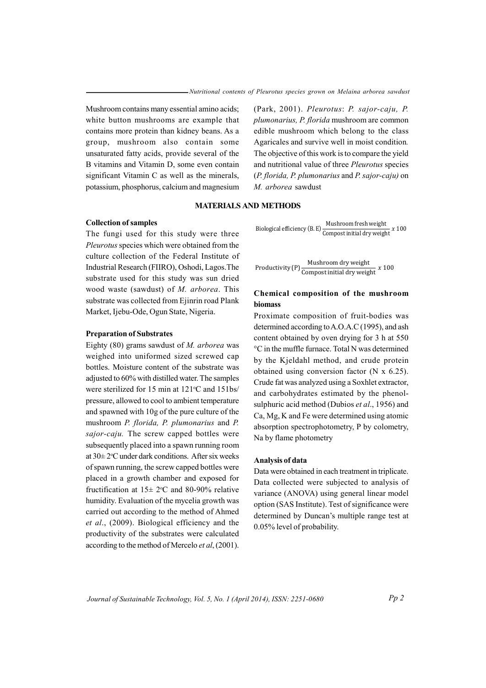Mushroom contains many essential amino acids; white button mushrooms are example that contains more protein than kidney beans. As a group, mushroom also contain some unsaturated fatty acids, provide several of the B vitamins and Vitamin D, some even contain significant Vitamin C as well as the minerals, potassium, phosphorus, calcium and magnesium (Park, 2001). Pleurotus: P. sajor-caju, P. plumonarius, P. florida mushroom are common edible mushroom which belong to the class Agaricales and survive well in moist condition. The objective of this work is to compare the yield and nutritional value of three Pleurotus species  $(P.$  florida, P. plumonarius and P. sajor-caju) on M. arborea sawdust

### **MATERIALS AND METHODS**

#### **Collection of samples**

The fungi used for this study were three Pleurotus species which were obtained from the culture collection of the Federal Institute of Industrial Research (FIIRO), Oshodi, Lagos. The substrate used for this study was sun dried wood waste (sawdust) of M. arborea. This substrate was collected from Ejinrin road Plank Market, Ijebu-Ode, Ogun State, Nigeria.

#### **Preparation of Substrates**

Eighty (80) grams sawdust of  $M$ . arborea was weighed into uniformed sized screwed cap bottles. Moisture content of the substrate was adjusted to 60% with distilled water. The samples were sterilized for 15 min at 121°C and 151bs/ pressure, allowed to cool to ambient temperature and spawned with 10g of the pure culture of the mushroom P. florida, P. plumonarius and P. *sajor-caju*. The screw capped bottles were subsequently placed into a spawn running room at  $30 \pm 2$ °C under dark conditions. After six weeks of spawn running, the screw capped bottles were placed in a growth chamber and exposed for fructification at  $15 \pm 2$ °C and 80-90% relative humidity. Evaluation of the mycelia growth was carried out according to the method of Ahmed et al., (2009). Biological efficiency and the productivity of the substrates were calculated according to the method of Mercelo et al, (2001).

Biological efficiency (B.E) 
$$
\frac{\text{Mushroom fresh weight}}{\text{Compost initial dry weight}} \times 100
$$

Productivity (P)  $\frac{\text{Mushroom dry weight}}{\text{Compost initial dry weight}} x 100$ 

# Chemical composition of the mushroom biomass

Proximate composition of fruit-bodies was determined according to A.O.A.C (1995), and ash content obtained by oven drying for 3 h at 550 °C in the muffle furnace. Total N was determined by the Kjeldahl method, and crude protein obtained using conversion factor  $(N \times 6.25)$ . Crude fat was analyzed using a Soxhlet extractor, and carbohydrates estimated by the phenolsulphuric acid method (Dubios et al., 1956) and Ca, Mg, K and Fe were determined using atomic absorption spectrophotometry, P by colometry, Na by flame photometry

#### Analysis of data

Data were obtained in each treatment in triplicate. Data collected were subjected to analysis of variance (ANOVA) using general linear model option (SAS Institute). Test of significance were determined by Duncan's multiple range test at 0.05% level of probability.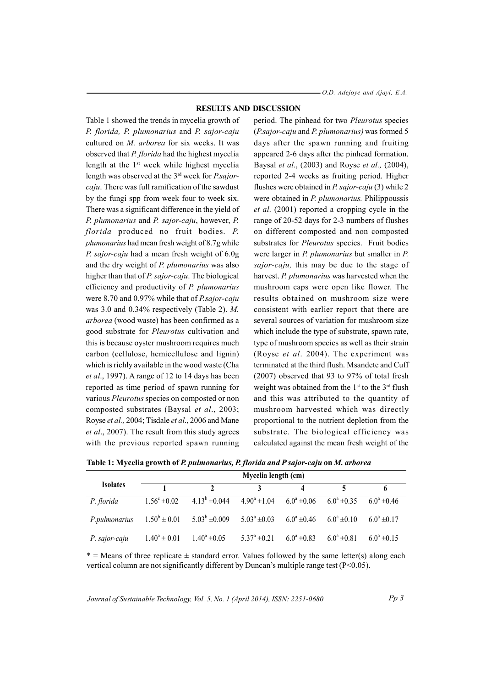$-$  O.D. Adejoye and Ajayi, E.A.

#### **RESULTS AND DISCUSSION**

Table 1 showed the trends in mycelia growth of P. florida, P. plumonarius and P. sajor-caju cultured on M. arborea for six weeks. It was observed that P. florida had the highest mycelia length at the 1<sup>st</sup> week while highest mycelia length was observed at the  $3<sup>rd</sup>$  week for *P.sajor*caju. There was full ramification of the sawdust by the fungi spp from week four to week six. There was a significant difference in the yield of P. plumonarius and P. sajor-caju, however, P. florida produced no fruit bodies. P. *plumonarius* had mean fresh weight of 8.7g while P. sajor-caju had a mean fresh weight of 6.0g and the dry weight of P. plumonarius was also higher than that of P. sajor-caju. The biological efficiency and productivity of P. plumonarius were 8.70 and 0.97% while that of P.sajor-caju was 3.0 and  $0.34\%$  respectively (Table 2). M. arborea (wood waste) has been confirmed as a good substrate for *Pleurotus* cultivation and this is because oyster mushroom requires much carbon (cellulose, hemicellulose and lignin) which is richly available in the wood waste (Cha et al., 1997). A range of 12 to 14 days has been reported as time period of spawn running for various *Pleurotus* species on composted or non composted substrates (Baysal et al., 2003; Royse et al., 2004; Tisdale et al., 2006 and Mane et al., 2007). The result from this study agrees with the previous reported spawn running

period. The pinhead for two Pleurotus species (P.sajor-caju and P. plumonarius) was formed 5 days after the spawn running and fruiting appeared 2-6 days after the pinhead formation. Baysal et al., (2003) and Royse et al., (2004), reported 2-4 weeks as fruiting period. Higher flushes were obtained in *P. sajor-caju* (3) while 2 were obtained in *P. plumonarius*. Philippoussis et al. (2001) reported a cropping cycle in the range of 20-52 days for 2-3 numbers of flushes on different composted and non composted substrates for *Pleurotus* species. Fruit bodies were larger in *P. plumonarius* but smaller in *P. sajor-caju*, this may be due to the stage of harvest. P. plumonarius was harvested when the mushroom caps were open like flower. The results obtained on mushroom size were consistent with earlier report that there are several sources of variation for mushroom size which include the type of substrate, spawn rate, type of mushroom species as well as their strain (Royse et al. 2004). The experiment was terminated at the third flush. Msandete and Cuff  $(2007)$  observed that 93 to 97% of total fresh weight was obtained from the 1<sup>st</sup> to the 3<sup>rd</sup> flush and this was attributed to the quantity of mushroom harvested which was directly proportional to the nutrient depletion from the substrate. The biological efficiency was calculated against the mean fresh weight of the

Table 1: Mycelia growth of P. pulmonarius, P. florida and P sajor-caju on M. arborea

|                 | Mycelia length (cm)     |                                      |                      |                  |                  |                     |  |  |
|-----------------|-------------------------|--------------------------------------|----------------------|------------------|------------------|---------------------|--|--|
| <b>Isolates</b> |                         | $\gamma$                             |                      | 4                |                  | 6                   |  |  |
| P. florida      | $1.56^{\circ} \pm 0.02$ | $\frac{1}{4.13}$ <sup>b</sup> ±0.044 | $4.90^a \pm 1.04$    | $6.0^a \pm 0.06$ | $6.0^a \pm 0.35$ | $6.0^a \pm 0.46$    |  |  |
| P.pulmonarius   | $1.50^b \pm 0.01$       | $5.03^b \pm 0.009$                   | $5.03^a \pm 0.03$    | $6.0^a \pm 0.46$ | $6.0^a \pm 0.10$ | $6.0^a \pm 0.17$    |  |  |
| P. sajor-caju   | $1.40^a \pm 0.01$       | $1.40^a \pm 0.05$                    | $5.37^{\circ}$ ±0.21 | $6.0^a \pm 0.83$ | $6.0^a \pm 0.81$ | $6.0^{\circ}$ ±0.15 |  |  |

 $*$  = Means of three replicate  $\pm$  standard error. Values followed by the same letter(s) along each vertical column are not significantly different by Duncan's multiple range test  $(P<0.05)$ .

Journal of Sustainable Technology, Vol. 5, No. 1 (April 2014), ISSN: 2251-0680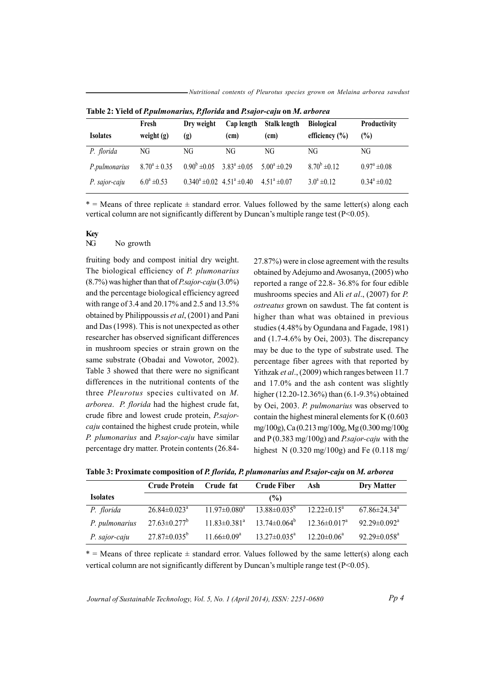Nutritional contents of Pleurotus species grown on Melaina arborea sawdust

| <b>Isolates</b> | Fresh<br>weight $(g)$ | Dry weight<br>(g)                               | Cap length<br>(cm) | Stalk length<br>(c <sub>m</sub> ) | <b>Biological</b><br>efficiency $(\% )$ | <b>Productivity</b><br>(%) |
|-----------------|-----------------------|-------------------------------------------------|--------------------|-----------------------------------|-----------------------------------------|----------------------------|
| P. florida      | NG                    | NG                                              | NG                 | NG                                | NG                                      | NG                         |
| P.pulmonarius   | $8.70^a \pm 0.35$     | $0.90^b \pm 0.05$ $3.83^a \pm 0.05$             |                    | $5.00^a \pm 0.29$                 | $8.70^b \pm 0.12$                       | $0.97^{\circ} \pm 0.08$    |
| P. sajor-caju   | $6.0^a \pm 0.53$      | $0.340^a \pm 0.02$ 4.51 <sup>a</sup> $\pm 0.40$ |                    | $4.51^a \pm 0.07$                 | $3.0^a \pm 0.12$                        | $0.34^a \pm 0.02$          |

Table 2: Yield of P.pulmonarius, P.florida and P.sajor-caju on M. arborea

 $*$  = Means of three replicate  $\pm$  standard error. Values followed by the same letter(s) along each vertical column are not significantly different by Duncan's multiple range test (P<0.05).

# Kev

#### NG No growth

fruiting body and compost initial dry weight. The biological efficiency of P. plumonarius  $(8.7\%)$  was higher than that of *P.sajor-caju*  $(3.0\%)$ and the percentage biological efficiency agreed with range of 3.4 and 20.17% and 2.5 and 13.5% obtained by Philippoussis et al, (2001) and Pani and Das (1998). This is not unexpected as other researcher has observed significant differences in mushroom species or strain grown on the same substrate (Obadai and Vowotor, 2002). Table 3 showed that there were no significant differences in the nutritional contents of the three *Pleurotus* species cultivated on M. arborea. P. florida had the highest crude fat, crude fibre and lowest crude protein, P.sajorcaju contained the highest crude protein, while P. plumonarius and P.sajor-caju have similar percentage dry matter. Protein contents (26.84-

27.87%) were in close agreement with the results obtained by Adejumo and Awosanya, (2005) who reported a range of 22.8-36.8% for four edible mushrooms species and Ali et al., (2007) for P. ostreatus grown on sawdust. The fat content is higher than what was obtained in previous studies (4.48% by Ogundana and Fagade, 1981) and  $(1.7-4.6\%$  by Oei, 2003). The discrepancy may be due to the type of substrate used. The percentage fiber agrees with that reported by Yithzak et al., (2009) which ranges between 11.7 and 17.0% and the ash content was slightly higher  $(12.20-12.36\%)$  than  $(6.1-9.3\%)$  obtained by Oei, 2003. P. pulmonarius was observed to contain the highest mineral elements for  $K(0.603)$ mg/100g), Ca (0.213 mg/100g, Mg (0.300 mg/100g and  $P(0.383 \text{ mg}/100 \text{g})$  and *P.sajor-caju* with the highest N  $(0.320 \text{ mg}/100 \text{g})$  and Fe  $(0.118 \text{ mg}/100 \text{g})$ 

Table 3: Proximate composition of P. florida, P. plumonarius and P. sajor-caju on M. arborea

|                 | <b>Crude Protein</b>           | Crude fat           | <b>Crude Fiber</b>           | Ash                            | Dry Matter                     |
|-----------------|--------------------------------|---------------------|------------------------------|--------------------------------|--------------------------------|
| <b>Isolates</b> |                                |                     | (%)                          |                                |                                |
| P. florida      | $26.84 \pm 0.023$ <sup>a</sup> | $11.97 \pm 0.080^a$ | $13.88 \pm 0.035^{\circ}$    | $12.22 \pm 0.15^a$             | $67.86 \pm 24.34$ <sup>a</sup> |
| P. pulmonarius  | $27.63 \pm 0.277$ <sup>b</sup> | $11.83 \pm 0.381^a$ | $13.74 \pm 0.064^{\circ}$    | $12.36 \pm 0.017$ <sup>a</sup> | $92.29 \pm 0.092^{\text{a}}$   |
| P. sajor-caju   | $27.87 \pm 0.035^b$            | $11.66 \pm 0.09^a$  | $13.27 \pm 0.035^{\text{a}}$ | $12.20 \pm 0.06^a$             | $92.29 \pm 0.058^a$            |

 $*$  = Means of three replicate  $\pm$  standard error. Values followed by the same letter(s) along each vertical column are not significantly different by Duncan's multiple range test (P<0.05).

Journal of Sustainable Technology, Vol. 5, No. 1 (April 2014), ISSN: 2251-0680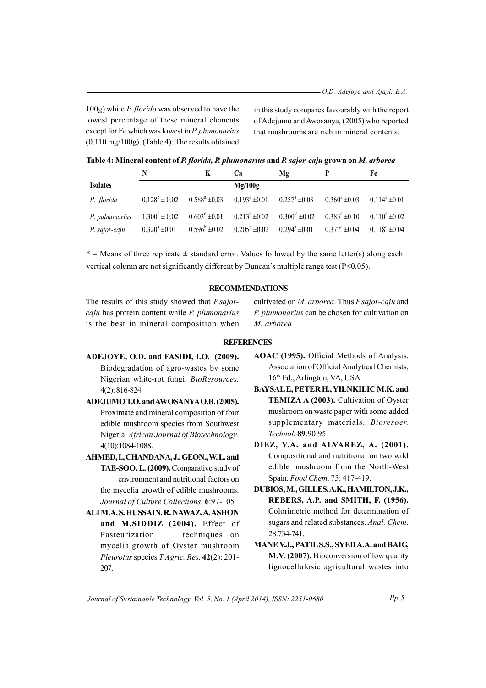100g) while *P. florida* was observed to have the lowest percentage of these mineral elements except for  $Fe$  which was lowest in  $P$ . plumonarius  $(0.110 \text{ mg}/100 \text{g})$ . (Table 4). The results obtained in this study compares favourably with the report of Adejumo and Awosanya, (2005) who reported that mushrooms are rich in mineral contents.

| Table 4: Mineral content of P. florida, P. plumonarius and P. sajor-caju grown on M. arborea |  |  |
|----------------------------------------------------------------------------------------------|--|--|
|                                                                                              |  |  |

|                 | N                  | К                                                 | Cа                                                       | Mg                                                    |                       | Fe                 |
|-----------------|--------------------|---------------------------------------------------|----------------------------------------------------------|-------------------------------------------------------|-----------------------|--------------------|
| <b>Isolates</b> |                    |                                                   | Mg/100g                                                  |                                                       |                       |                    |
| P. florida      | $0.128^b \pm 0.02$ |                                                   | $0.588^a \pm 0.03$ $0.193^a \pm 0.01$ $0.257^a \pm 0.03$ |                                                       | $0.360^a \pm 0.03$    | $0.114^a \pm 0.01$ |
| P. pulmonarius  | $1.300^b \pm 0.02$ | $0.603^{\circ} \pm 0.01$ $0.213^{\circ} \pm 0.02$ |                                                          | $0.300^{\text{ a}}\pm0.02$ $0.383^{\text{ a}}\pm0.10$ |                       | $0.110^a \pm 0.02$ |
| P. sajor-caju   | $0.320^a \pm 0.01$ |                                                   | $0.596^b \pm 0.02$ $0.205^b \pm 0.02$                    | $0.294^a \pm 0.01$                                    | $0.377^{\circ}$ ±0.04 | $0.118^a \pm 0.04$ |

 $*$  = Means of three replicate  $\pm$  standard error. Values followed by the same letter(s) along each vertical column are not significantly different by Duncan's multiple range test (P<0.05).

# **RECOMMENDATIONS**

The results of this study showed that *P.sajor*caju has protein content while P. plumonarius is the best in mineral composition when

cultivated on M. arborea. Thus P.sajor-caju and P. plumonarius can be chosen for cultivation on M. arborea

## **REFERENCES**

- ADEJOYE, O.D. and FASIDI, I.O. (2009). Biodegradation of agro-wastes by some Nigerian white-rot fungi. BioResources.  $4(2): 816 - 824$
- ADEJUMO T.O. and AWOSANYA O.B. (2005). Proximate and mineral composition of four edible mushroom species from Southwest Nigeria. African Journal of Biotechnology. 4(10):1084-1088.
- AHMED, I., CHANDANA, J., GEON., W.L. and TAE-SOO, L. (2009). Comparative study of environment and nutritional factors on the mycelia growth of edible mushrooms. Journal of Culture Collections. 6:97-105
- ALI M.A, S. HUSSAIN, R. NAWAZ. A. ASHON and M.SIDDIZ (2004). Effect of Pasteurization techniques on mycelia growth of Oyster mushroom Pleurotus species T Agric. Res. 42(2): 201-207.
- AOAC (1995). Official Methods of Analysis. Association of Official Analytical Chemists, 16<sup>th</sup> Ed., Arlington, VA, USA
- BAYSALE, PETER H., YILNKILIC M.K. and **TEMIZA A (2003).** Cultivation of Oyster mushroom on waste paper with some added supplementary materials. Bioresoer. Technol. 89:90:95
- DIEZ, V.A. and ALVAREZ, A. (2001). Compositional and nutritional on two wild edible mushroom from the North-West Spain. Food Chem. 75: 417-419.
- DUBIOS, M., GILLES, A.K., HAMILTON, J.K., REBERS, A.P. and SMITH, F. (1956). Colorimetric method for determination of sugars and related substances. Anal. Chem. 28:734-741.
- MANE V.J., PATILS.S., SYED A.A. and BAIG, M.V. (2007). Bioconversion of low quality lignocellulosic agricultural wastes into

Journal of Sustainable Technology, Vol. 5, No. 1 (April 2014), ISSN: 2251-0680